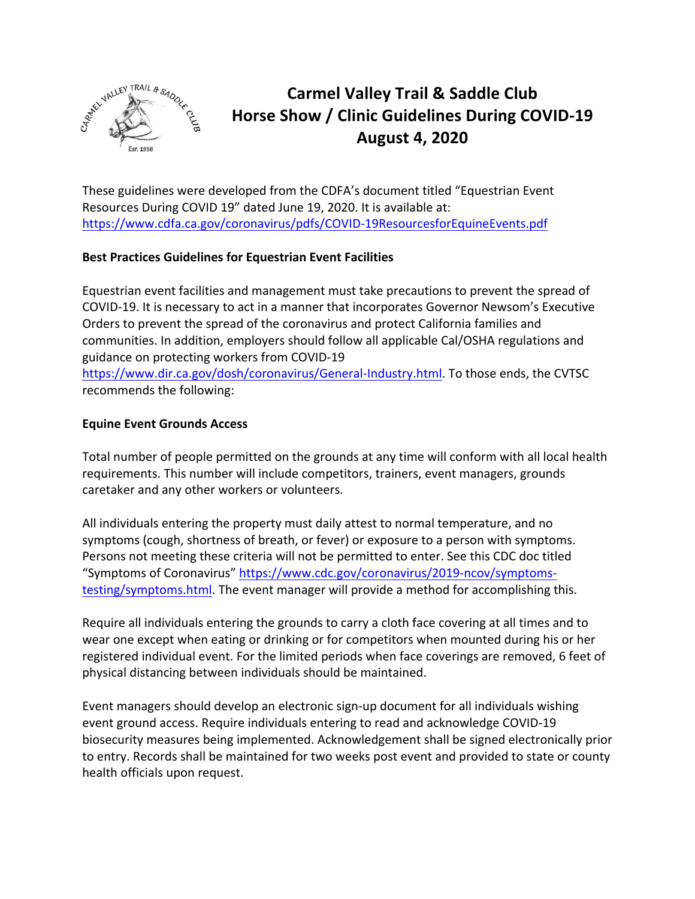

# **Carmel Valley Trail & Saddle Club** Horse Show / Clinic Guidelines During COVID-19 **August 4, 2020**

These guidelines were developed from the CDFA's document titled "Equestrian Event" Resources During COVID 19" dated June 19, 2020. It is available at: https://www.cdfa.ca.gov/coronavirus/pdfs/COVID-19ResourcesforEquineEvents.pdf

## **Best Practices Guidelines for Equestrian Event Facilities**

Equestrian event facilities and management must take precautions to prevent the spread of COVID-19. It is necessary to act in a manner that incorporates Governor Newsom's Executive Orders to prevent the spread of the coronavirus and protect California families and communities. In addition, employers should follow all applicable Cal/OSHA regulations and guidance on protecting workers from COVID-19 https://www.dir.ca.gov/dosh/coronavirus/General-Industry.html. To those ends, the CVTSC recommends the following:

## **Equine Event Grounds Access**

Total number of people permitted on the grounds at any time will conform with all local health requirements. This number will include competitors, trainers, event managers, grounds caretaker and any other workers or volunteers.

All individuals entering the property must daily attest to normal temperature, and no symptoms (cough, shortness of breath, or fever) or exposure to a person with symptoms. Persons not meeting these criteria will not be permitted to enter. See this CDC doc titled "Symptoms of Coronavirus" https://www.cdc.gov/coronavirus/2019-ncov/symptomstesting/symptoms.html. The event manager will provide a method for accomplishing this.

Require all individuals entering the grounds to carry a cloth face covering at all times and to wear one except when eating or drinking or for competitors when mounted during his or her registered individual event. For the limited periods when face coverings are removed, 6 feet of physical distancing between individuals should be maintained.

Event managers should develop an electronic sign-up document for all individuals wishing event ground access. Require individuals entering to read and acknowledge COVID-19 biosecurity measures being implemented. Acknowledgement shall be signed electronically prior to entry. Records shall be maintained for two weeks post event and provided to state or county health officials upon request.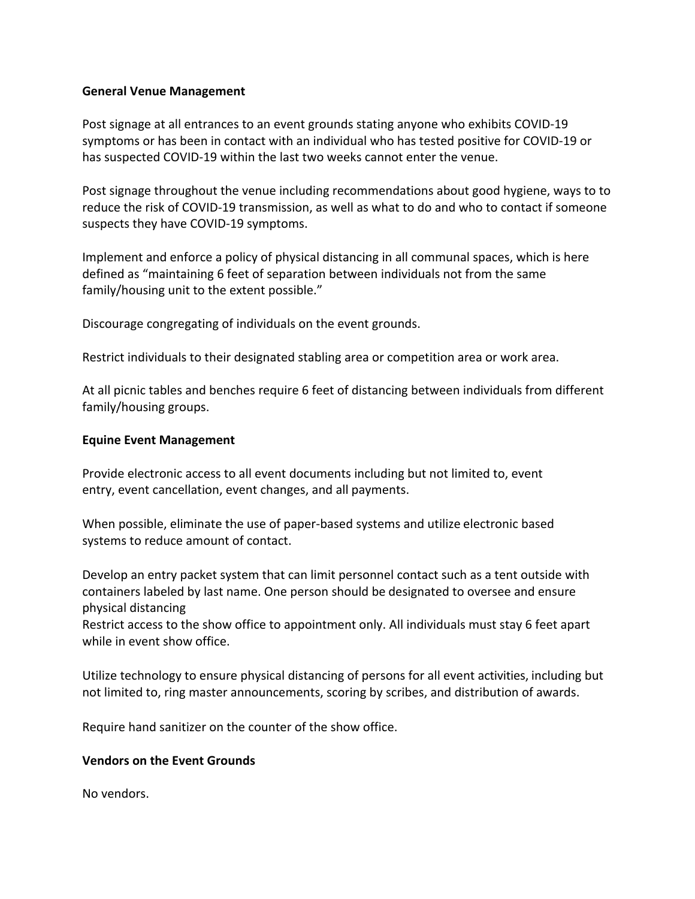### **General Venue Management**

Post signage at all entrances to an event grounds stating anyone who exhibits COVID-19 symptoms or has been in contact with an individual who has tested positive for COVID-19 or has suspected COVID-19 within the last two weeks cannot enter the venue.

Post signage throughout the venue including recommendations about good hygiene, ways to to reduce the risk of COVID-19 transmission, as well as what to do and who to contact if someone suspects they have COVID-19 symptoms.

Implement and enforce a policy of physical distancing in all communal spaces, which is here defined as "maintaining 6 feet of separation between individuals not from the same family/housing unit to the extent possible."

Discourage congregating of individuals on the event grounds.

Restrict individuals to their designated stabling area or competition area or work area.

At all picnic tables and benches require 6 feet of distancing between individuals from different family/housing groups.

## **Equine Event Management**

Provide electronic access to all event documents including but not limited to, event entry, event cancellation, event changes, and all payments.

When possible, eliminate the use of paper-based systems and utilize electronic based systems to reduce amount of contact.

Develop an entry packet system that can limit personnel contact such as a tent outside with containers labeled by last name. One person should be designated to oversee and ensure physical distancing

Restrict access to the show office to appointment only. All individuals must stay 6 feet apart while in event show office.

Utilize technology to ensure physical distancing of persons for all event activities, including but not limited to, ring master announcements, scoring by scribes, and distribution of awards.

Require hand sanitizer on the counter of the show office.

## **Vendors on the Event Grounds**

No vendors.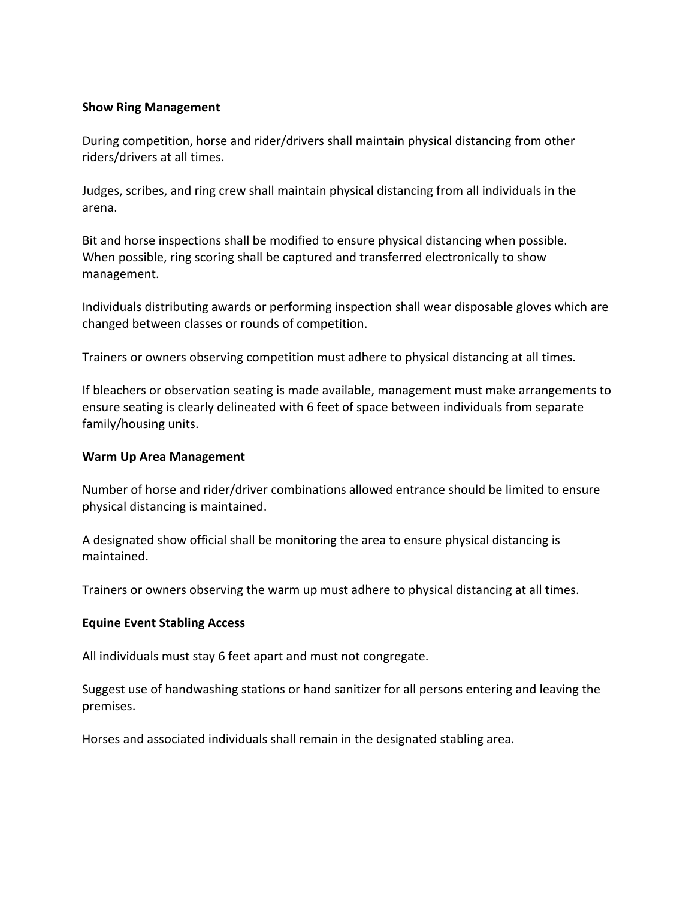### **Show Ring Management**

During competition, horse and rider/drivers shall maintain physical distancing from other riders/drivers at all times.

Judges, scribes, and ring crew shall maintain physical distancing from all individuals in the arena.

Bit and horse inspections shall be modified to ensure physical distancing when possible. When possible, ring scoring shall be captured and transferred electronically to show management.

Individuals distributing awards or performing inspection shall wear disposable gloves which are changed between classes or rounds of competition.

Trainers or owners observing competition must adhere to physical distancing at all times.

If bleachers or observation seating is made available, management must make arrangements to ensure seating is clearly delineated with 6 feet of space between individuals from separate family/housing units.

#### **Warm Up Area Management**

Number of horse and rider/driver combinations allowed entrance should be limited to ensure physical distancing is maintained.

A designated show official shall be monitoring the area to ensure physical distancing is maintained.

Trainers or owners observing the warm up must adhere to physical distancing at all times.

#### **Equine Event Stabling Access**

All individuals must stay 6 feet apart and must not congregate.

Suggest use of handwashing stations or hand sanitizer for all persons entering and leaving the premises.

Horses and associated individuals shall remain in the designated stabling area.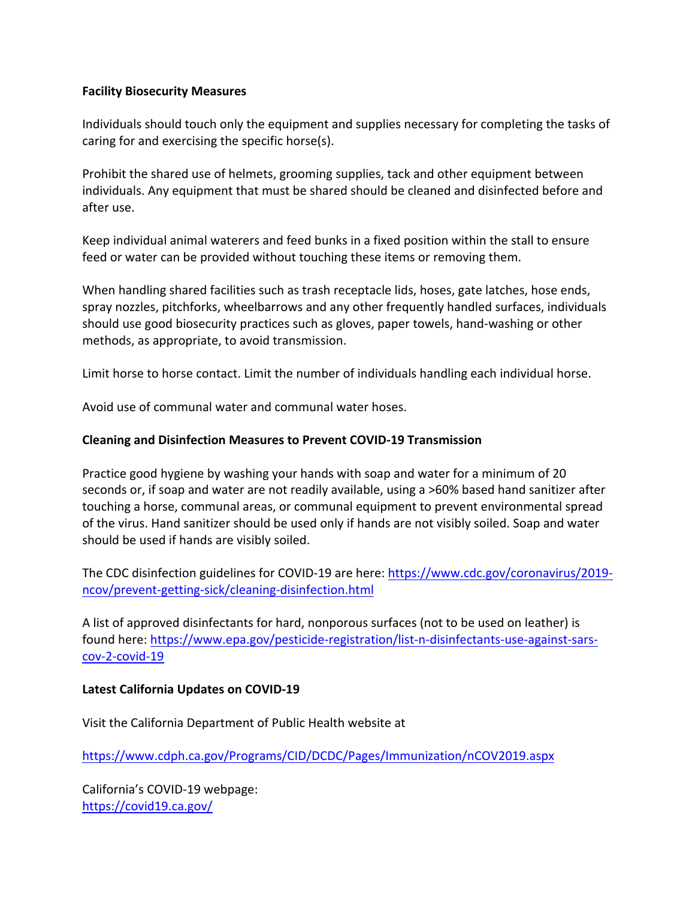## **Facility Biosecurity Measures**

Individuals should touch only the equipment and supplies necessary for completing the tasks of caring for and exercising the specific horse(s).

Prohibit the shared use of helmets, grooming supplies, tack and other equipment between individuals. Any equipment that must be shared should be cleaned and disinfected before and after use.

Keep individual animal waterers and feed bunks in a fixed position within the stall to ensure feed or water can be provided without touching these items or removing them.

When handling shared facilities such as trash receptacle lids, hoses, gate latches, hose ends, spray nozzles, pitchforks, wheelbarrows and any other frequently handled surfaces, individuals should use good biosecurity practices such as gloves, paper towels, hand-washing or other methods, as appropriate, to avoid transmission.

Limit horse to horse contact. Limit the number of individuals handling each individual horse.

Avoid use of communal water and communal water hoses.

## **Cleaning and Disinfection Measures to Prevent COVID-19 Transmission**

Practice good hygiene by washing your hands with soap and water for a minimum of 20 seconds or, if soap and water are not readily available, using a >60% based hand sanitizer after touching a horse, communal areas, or communal equipment to prevent environmental spread of the virus. Hand sanitizer should be used only if hands are not visibly soiled. Soap and water should be used if hands are visibly soiled.

The CDC disinfection guidelines for COVID-19 are here: https://www.cdc.gov/coronavirus/2019ncov/prevent-getting-sick/cleaning-disinfection.html

A list of approved disinfectants for hard, nonporous surfaces (not to be used on leather) is found here: https://www.epa.gov/pesticide-registration/list-n-disinfectants-use-against-sarscov-2-covid-19

### **Latest California Updates on COVID-19**

Visit the California Department of Public Health website at

https://www.cdph.ca.gov/Programs/CID/DCDC/Pages/Immunization/nCOV2019.aspx

California's COVID-19 webpage: https://covid19.ca.gov/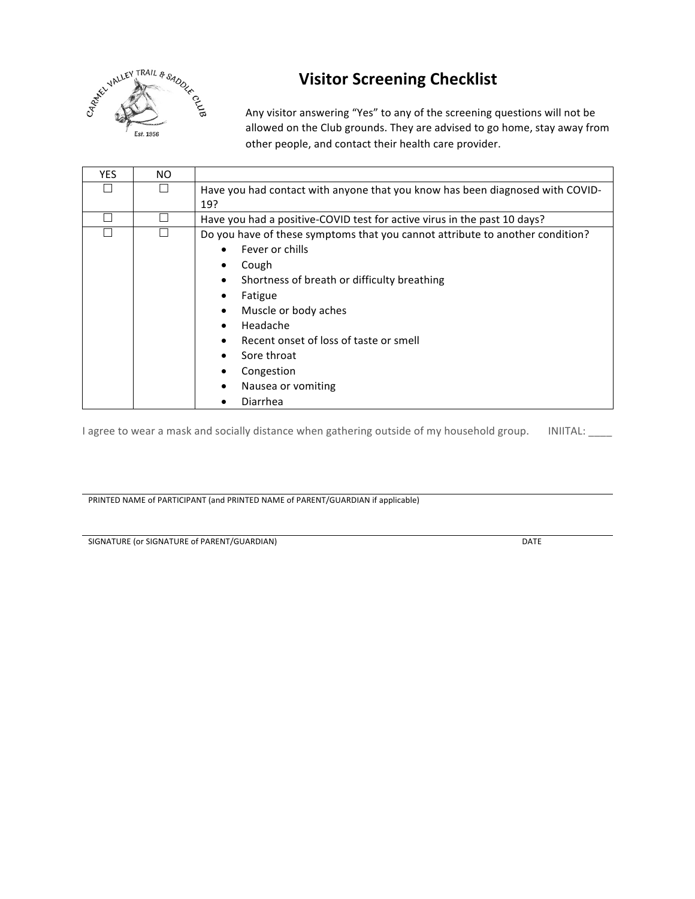

# **Visitor Screening Checklist**

Any visitor answering "Yes" to any of the screening questions will not be allowed on the Club grounds. They are advised to go home, stay away from other people, and contact their health care provider.

| <b>YES</b> | NO. |                                                                               |
|------------|-----|-------------------------------------------------------------------------------|
|            |     | Have you had contact with anyone that you know has been diagnosed with COVID- |
|            |     | 19?                                                                           |
|            |     | Have you had a positive-COVID test for active virus in the past 10 days?      |
|            |     | Do you have of these symptoms that you cannot attribute to another condition? |
|            |     | Fever or chills                                                               |
|            |     | Cough                                                                         |
|            |     | Shortness of breath or difficulty breathing                                   |
|            |     | Fatigue                                                                       |
|            |     | Muscle or body aches                                                          |
|            |     | Headache                                                                      |
|            |     | Recent onset of loss of taste or smell                                        |
|            |     | Sore throat                                                                   |
|            |     | Congestion                                                                    |
|            |     | Nausea or vomiting                                                            |
|            |     | Diarrhea                                                                      |

I agree to wear a mask and socially distance when gathering outside of my household group. INIITAL: \_\_\_\_

PRINTED NAME of PARTICIPANT (and PRINTED NAME of PARENT/GUARDIAN if applicable)

SIGNATURE (or SIGNATURE of PARENT/GUARDIAN) DATE